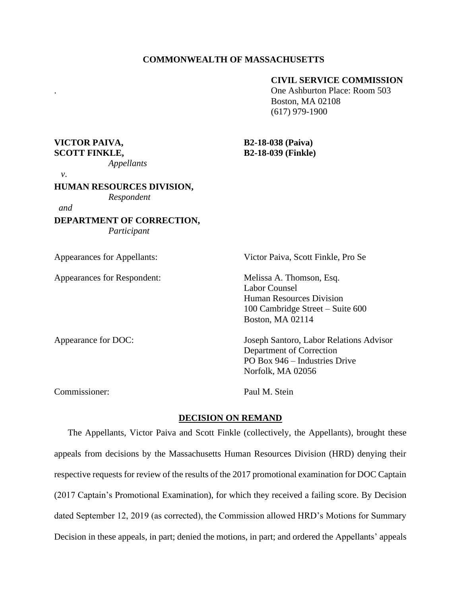# **CIVIL SERVICE COMMISSION**

. One Ashburton Place: Room 503 Boston, MA 02108 (617) 979-1900

**VICTOR PAIVA, B2-18-038 (Paiva) SCOTT FINKLE, B2-18-039 (Finkle)**

 *v*.

### **HUMAN RESOURCES DIVISION,**

*Appellants* 

*Respondent*

*and* 

**DEPARTMENT OF CORRECTION,** *Participant*

Appearances for Appellants: Victor Paiva, Scott Finkle, Pro Se Appearances for Respondent: Melissa A. Thomson, Esq. Labor Counsel Human Resources Division 100 Cambridge Street – Suite 600 Boston, MA 02114 Appearance for DOC: Joseph Santoro, Labor Relations Advisor Department of Correction PO Box 946 – Industries Drive Norfolk, MA 02056 Commissioner: Paul M. Stein

# **DECISION ON REMAND**

The Appellants, Victor Paiva and Scott Finkle (collectively, the Appellants), brought these appeals from decisions by the Massachusetts Human Resources Division (HRD) denying their respective requests for review of the results of the 2017 promotional examination for DOC Captain (2017 Captain's Promotional Examination), for which they received a failing score. By Decision dated September 12, 2019 (as corrected), the Commission allowed HRD's Motions for Summary Decision in these appeals, in part; denied the motions, in part; and ordered the Appellants' appeals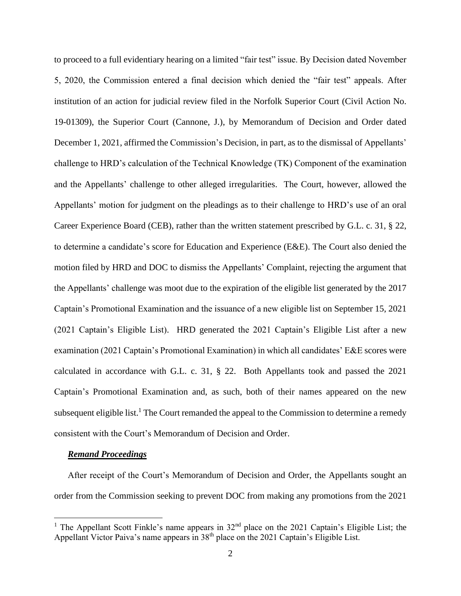to proceed to a full evidentiary hearing on a limited "fair test" issue. By Decision dated November 5, 2020, the Commission entered a final decision which denied the "fair test" appeals. After institution of an action for judicial review filed in the Norfolk Superior Court (Civil Action No. 19-01309), the Superior Court (Cannone, J.), by Memorandum of Decision and Order dated December 1, 2021, affirmed the Commission's Decision, in part, as to the dismissal of Appellants' challenge to HRD's calculation of the Technical Knowledge (TK) Component of the examination and the Appellants' challenge to other alleged irregularities. The Court, however, allowed the Appellants' motion for judgment on the pleadings as to their challenge to HRD's use of an oral Career Experience Board (CEB), rather than the written statement prescribed by G.L. c. 31, § 22, to determine a candidate's score for Education and Experience (E&E). The Court also denied the motion filed by HRD and DOC to dismiss the Appellants' Complaint, rejecting the argument that the Appellants' challenge was moot due to the expiration of the eligible list generated by the 2017 Captain's Promotional Examination and the issuance of a new eligible list on September 15, 2021 (2021 Captain's Eligible List). HRD generated the 2021 Captain's Eligible List after a new examination (2021 Captain's Promotional Examination) in which all candidates' E&E scores were calculated in accordance with G.L. c. 31, § 22. Both Appellants took and passed the 2021 Captain's Promotional Examination and, as such, both of their names appeared on the new subsequent eligible list.<sup>1</sup> The Court remanded the appeal to the Commission to determine a remedy consistent with the Court's Memorandum of Decision and Order.

#### *Remand Proceedings*

After receipt of the Court's Memorandum of Decision and Order, the Appellants sought an order from the Commission seeking to prevent DOC from making any promotions from the 2021

<sup>&</sup>lt;sup>1</sup> The Appellant Scott Finkle's name appears in  $32<sup>nd</sup>$  place on the 2021 Captain's Eligible List; the Appellant Victor Paiva's name appears in  $38<sup>th</sup>$  place on the 2021 Captain's Eligible List.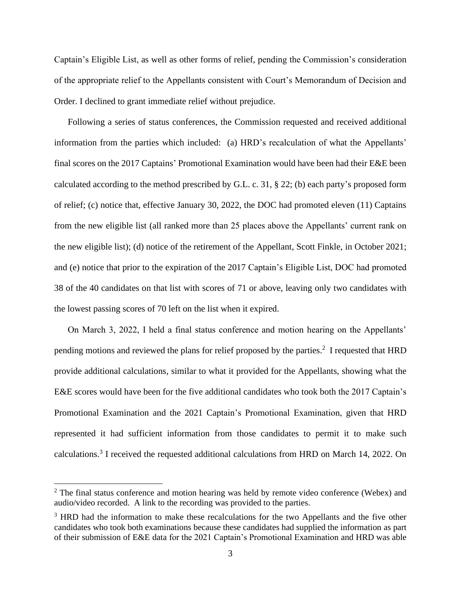Captain's Eligible List, as well as other forms of relief, pending the Commission's consideration of the appropriate relief to the Appellants consistent with Court's Memorandum of Decision and Order. I declined to grant immediate relief without prejudice.

Following a series of status conferences, the Commission requested and received additional information from the parties which included: (a) HRD's recalculation of what the Appellants' final scores on the 2017 Captains' Promotional Examination would have been had their E&E been calculated according to the method prescribed by G.L. c. 31, § 22; (b) each party's proposed form of relief; (c) notice that, effective January 30, 2022, the DOC had promoted eleven (11) Captains from the new eligible list (all ranked more than 25 places above the Appellants' current rank on the new eligible list); (d) notice of the retirement of the Appellant, Scott Finkle, in October 2021; and (e) notice that prior to the expiration of the 2017 Captain's Eligible List, DOC had promoted 38 of the 40 candidates on that list with scores of 71 or above, leaving only two candidates with the lowest passing scores of 70 left on the list when it expired.

On March 3, 2022, I held a final status conference and motion hearing on the Appellants' pending motions and reviewed the plans for relief proposed by the parties.<sup>2</sup> I requested that HRD provide additional calculations, similar to what it provided for the Appellants, showing what the E&E scores would have been for the five additional candidates who took both the 2017 Captain's Promotional Examination and the 2021 Captain's Promotional Examination, given that HRD represented it had sufficient information from those candidates to permit it to make such calculations.<sup>3</sup> I received the requested additional calculations from HRD on March 14, 2022. On

 $2$  The final status conference and motion hearing was held by remote video conference (Webex) and audio/video recorded. A link to the recording was provided to the parties.

<sup>&</sup>lt;sup>3</sup> HRD had the information to make these recalculations for the two Appellants and the five other candidates who took both examinations because these candidates had supplied the information as part of their submission of E&E data for the 2021 Captain's Promotional Examination and HRD was able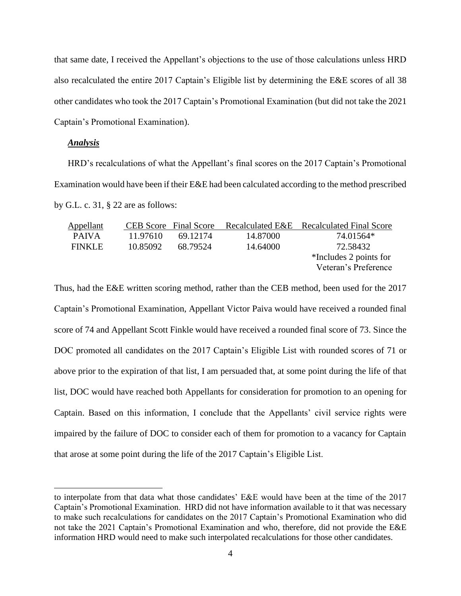that same date, I received the Appellant's objections to the use of those calculations unless HRD also recalculated the entire 2017 Captain's Eligible list by determining the E&E scores of all 38 other candidates who took the 2017 Captain's Promotional Examination (but did not take the 2021 Captain's Promotional Examination).

### *Analysis*

HRD's recalculations of what the Appellant's final scores on the 2017 Captain's Promotional Examination would have been if their E&E had been calculated according to the method prescribed by G.L. c. 31, § 22 are as follows:

| Appellant     |          | <b>CEB</b> Score Final Score |          | Recalculated E&E Recalculated Final Score |
|---------------|----------|------------------------------|----------|-------------------------------------------|
| <b>PAIVA</b>  | 11.97610 | 69.12174                     | 14.87000 | 74.01564*                                 |
| <b>FINKLE</b> | 10.85092 | 68.79524                     | 14.64000 | 72.58432                                  |
|               |          |                              |          | *Includes 2 points for                    |
|               |          |                              |          | Veteran's Preference                      |
|               |          |                              |          |                                           |

Thus, had the E&E written scoring method, rather than the CEB method, been used for the 2017 Captain's Promotional Examination, Appellant Victor Paiva would have received a rounded final score of 74 and Appellant Scott Finkle would have received a rounded final score of 73. Since the DOC promoted all candidates on the 2017 Captain's Eligible List with rounded scores of 71 or above prior to the expiration of that list, I am persuaded that, at some point during the life of that list, DOC would have reached both Appellants for consideration for promotion to an opening for Captain. Based on this information, I conclude that the Appellants' civil service rights were impaired by the failure of DOC to consider each of them for promotion to a vacancy for Captain that arose at some point during the life of the 2017 Captain's Eligible List.

to interpolate from that data what those candidates' E&E would have been at the time of the 2017 Captain's Promotional Examination. HRD did not have information available to it that was necessary to make such recalculations for candidates on the 2017 Captain's Promotional Examination who did not take the 2021 Captain's Promotional Examination and who, therefore, did not provide the E&E information HRD would need to make such interpolated recalculations for those other candidates.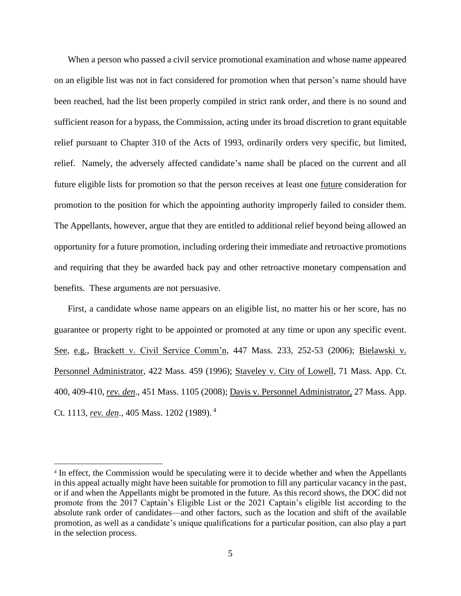When a person who passed a civil service promotional examination and whose name appeared on an eligible list was not in fact considered for promotion when that person's name should have been reached, had the list been properly compiled in strict rank order, and there is no sound and sufficient reason for a bypass, the Commission, acting under its broad discretion to grant equitable relief pursuant to Chapter 310 of the Acts of 1993, ordinarily orders very specific, but limited, relief. Namely, the adversely affected candidate's name shall be placed on the current and all future eligible lists for promotion so that the person receives at least one future consideration for promotion to the position for which the appointing authority improperly failed to consider them. The Appellants, however, argue that they are entitled to additional relief beyond being allowed an opportunity for a future promotion, including ordering their immediate and retroactive promotions and requiring that they be awarded back pay and other retroactive monetary compensation and benefits. These arguments are not persuasive.

First, a candidate whose name appears on an eligible list, no matter his or her score, has no guarantee or property right to be appointed or promoted at any time or upon any specific event. See, e.g., Brackett v. Civil Service Comm'n, 447 Mass. 233, 252-53 (2006); Bielawski v. Personnel Administrator, 422 Mass. 459 (1996); Staveley v. City of Lowell, 71 Mass. App. Ct. 400, 409-410, *rev. den*., 451 Mass. 1105 (2008); Davis v. Personnel Administrator, 27 Mass. App. Ct. 1113, *rev. den*., 405 Mass. 1202 (1989). 4

<sup>&</sup>lt;sup>4</sup> In effect, the Commission would be speculating were it to decide whether and when the Appellants in this appeal actually might have been suitable for promotion to fill any particular vacancy in the past, or if and when the Appellants might be promoted in the future. As this record shows, the DOC did not promote from the 2017 Captain's Eligible List or the 2021 Captain's eligible list according to the absolute rank order of candidates—and other factors, such as the location and shift of the available promotion, as well as a candidate's unique qualifications for a particular position, can also play a part in the selection process.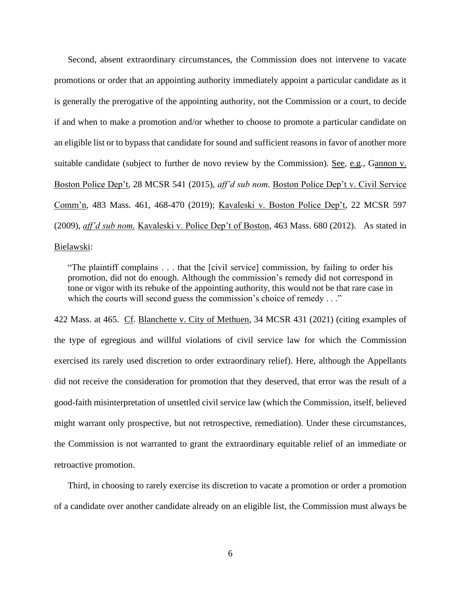Second, absent extraordinary circumstances, the Commission does not intervene to vacate promotions or order that an appointing authority immediately appoint a particular candidate as it is generally the prerogative of the appointing authority, not the Commission or a court, to decide if and when to make a promotion and/or whether to choose to promote a particular candidate on an eligible list or to bypass that candidate for sound and sufficient reasons in favor of another more suitable candidate (subject to further de novo review by the Commission). See, e.g., Gannon v. Boston Police Dep't, 28 MCSR 541 (2015), *aff'd sub nom.* Boston Police Dep't v. Civil Service Comm'n, 483 Mass. 461, 468-470 (2019); Kavaleski v. Boston Police Dep't, 22 MCSR 597 (2009), *aff'd sub nom.* Kavaleski v. Police Dep't of Boston, 463 Mass. 680 (2012). As stated in Bielawski:

"The plaintiff complains . . . that the [civil service] commission, by failing to order his promotion, did not do enough. Although the commission's remedy did not correspond in tone or vigor with its rebuke of the appointing authority, this would not be that rare case in which the courts will second guess the commission's choice of remedy . . ."

422 Mass. at 465. Cf. Blanchette v. City of Methuen, 34 MCSR 431 (2021) (citing examples of the type of egregious and willful violations of civil service law for which the Commission exercised its rarely used discretion to order extraordinary relief). Here, although the Appellants did not receive the consideration for promotion that they deserved, that error was the result of a good-faith misinterpretation of unsettled civil service law (which the Commission, itself, believed might warrant only prospective, but not retrospective, remediation). Under these circumstances, the Commission is not warranted to grant the extraordinary equitable relief of an immediate or retroactive promotion.

Third, in choosing to rarely exercise its discretion to vacate a promotion or order a promotion of a candidate over another candidate already on an eligible list, the Commission must always be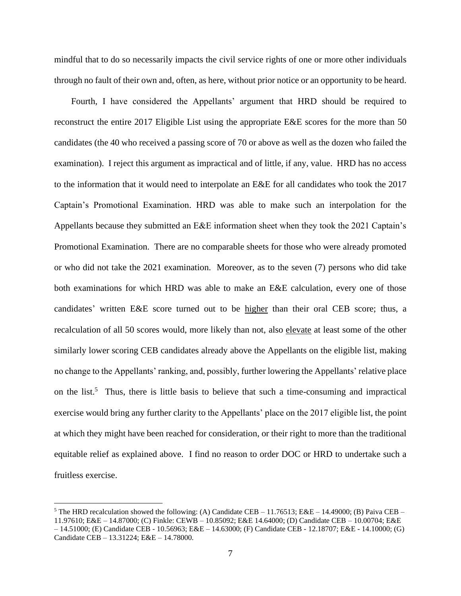mindful that to do so necessarily impacts the civil service rights of one or more other individuals through no fault of their own and, often, as here, without prior notice or an opportunity to be heard.

Fourth, I have considered the Appellants' argument that HRD should be required to reconstruct the entire 2017 Eligible List using the appropriate E&E scores for the more than 50 candidates (the 40 who received a passing score of 70 or above as well as the dozen who failed the examination). I reject this argument as impractical and of little, if any, value. HRD has no access to the information that it would need to interpolate an E&E for all candidates who took the 2017 Captain's Promotional Examination. HRD was able to make such an interpolation for the Appellants because they submitted an E&E information sheet when they took the 2021 Captain's Promotional Examination. There are no comparable sheets for those who were already promoted or who did not take the 2021 examination. Moreover, as to the seven (7) persons who did take both examinations for which HRD was able to make an E&E calculation, every one of those candidates' written E&E score turned out to be higher than their oral CEB score; thus, a recalculation of all 50 scores would, more likely than not, also elevate at least some of the other similarly lower scoring CEB candidates already above the Appellants on the eligible list, making no change to the Appellants' ranking, and, possibly, further lowering the Appellants' relative place on the list.<sup>5</sup> Thus, there is little basis to believe that such a time-consuming and impractical exercise would bring any further clarity to the Appellants' place on the 2017 eligible list, the point at which they might have been reached for consideration, or their right to more than the traditional equitable relief as explained above. I find no reason to order DOC or HRD to undertake such a fruitless exercise.

<sup>&</sup>lt;sup>5</sup> The HRD recalculation showed the following: (A) Candidate CEB – 11.76513; E&E – 14.49000; (B) Paiva CEB – 11.97610; E&E – 14.87000; (C) Finkle: CEWB – 10.85092; E&E 14.64000; (D) Candidate CEB – 10.00704; E&E – 14.51000; (E) Candidate CEB - 10.56963; E&E – 14.63000; (F) Candidate CEB - 12.18707; E&E - 14.10000; (G) Candidate CEB – 13.31224; E&E – 14.78000.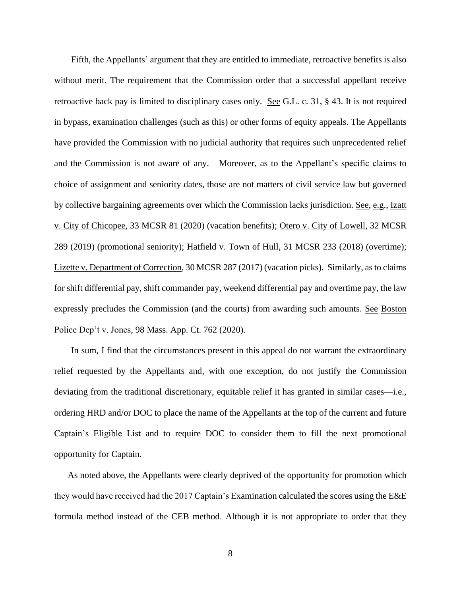Fifth, the Appellants' argument that they are entitled to immediate, retroactive benefits is also without merit. The requirement that the Commission order that a successful appellant receive retroactive back pay is limited to disciplinary cases only. See G.L. c. 31, § 43. It is not required in bypass, examination challenges (such as this) or other forms of equity appeals. The Appellants have provided the Commission with no judicial authority that requires such unprecedented relief and the Commission is not aware of any. Moreover, as to the Appellant's specific claims to choice of assignment and seniority dates, those are not matters of civil service law but governed by collective bargaining agreements over which the Commission lacks jurisdiction. See, e.g., Izatt v. City of Chicopee, 33 MCSR 81 (2020) (vacation benefits); Otero v. City of Lowell, 32 MCSR 289 (2019) (promotional seniority); Hatfield v. Town of Hull, 31 MCSR 233 (2018) (overtime); Lizette v. Department of Correction, 30 MCSR 287 (2017) (vacation picks). Similarly, as to claims for shift differential pay, shift commander pay, weekend differential pay and overtime pay, the law expressly precludes the Commission (and the courts) from awarding such amounts. See Boston Police Dep't v. Jones, 98 Mass. App. Ct. 762 (2020).

In sum, I find that the circumstances present in this appeal do not warrant the extraordinary relief requested by the Appellants and, with one exception, do not justify the Commission deviating from the traditional discretionary, equitable relief it has granted in similar cases—i.e., ordering HRD and/or DOC to place the name of the Appellants at the top of the current and future Captain's Eligible List and to require DOC to consider them to fill the next promotional opportunity for Captain.

As noted above, the Appellants were clearly deprived of the opportunity for promotion which they would have received had the 2017 Captain's Examination calculated the scores using the E&E formula method instead of the CEB method. Although it is not appropriate to order that they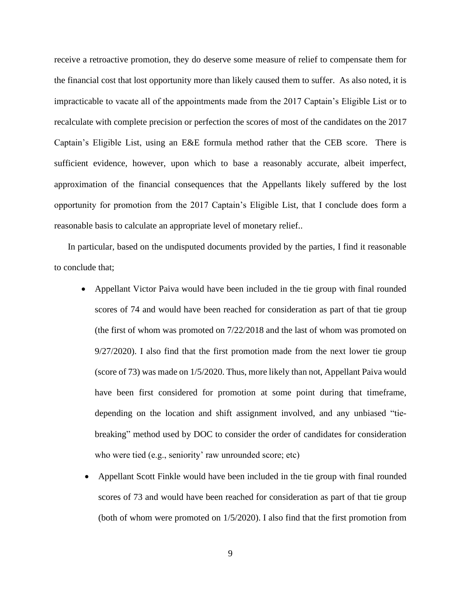receive a retroactive promotion, they do deserve some measure of relief to compensate them for the financial cost that lost opportunity more than likely caused them to suffer. As also noted, it is impracticable to vacate all of the appointments made from the 2017 Captain's Eligible List or to recalculate with complete precision or perfection the scores of most of the candidates on the 2017 Captain's Eligible List, using an E&E formula method rather that the CEB score. There is sufficient evidence, however, upon which to base a reasonably accurate, albeit imperfect, approximation of the financial consequences that the Appellants likely suffered by the lost opportunity for promotion from the 2017 Captain's Eligible List, that I conclude does form a reasonable basis to calculate an appropriate level of monetary relief..

In particular, based on the undisputed documents provided by the parties, I find it reasonable to conclude that;

- Appellant Victor Paiva would have been included in the tie group with final rounded scores of 74 and would have been reached for consideration as part of that tie group (the first of whom was promoted on 7/22/2018 and the last of whom was promoted on 9/27/2020). I also find that the first promotion made from the next lower tie group (score of 73) was made on 1/5/2020. Thus, more likely than not, Appellant Paiva would have been first considered for promotion at some point during that timeframe, depending on the location and shift assignment involved, and any unbiased "tiebreaking" method used by DOC to consider the order of candidates for consideration who were tied (e.g., seniority' raw unrounded score; etc)
- Appellant Scott Finkle would have been included in the tie group with final rounded scores of 73 and would have been reached for consideration as part of that tie group (both of whom were promoted on 1/5/2020). I also find that the first promotion from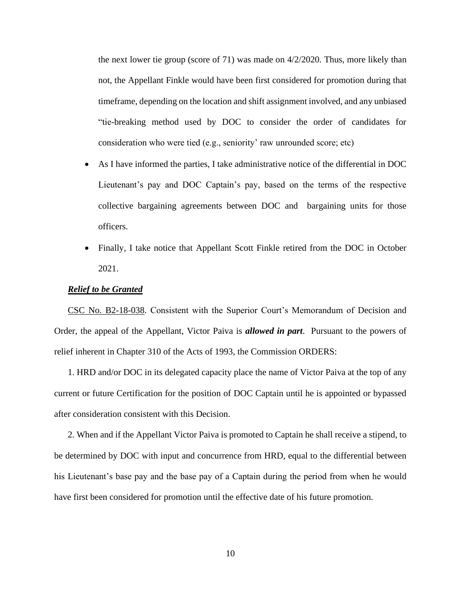the next lower tie group (score of 71) was made on  $4/2/2020$ . Thus, more likely than not, the Appellant Finkle would have been first considered for promotion during that timeframe, depending on the location and shift assignment involved, and any unbiased "tie-breaking method used by DOC to consider the order of candidates for consideration who were tied (e.g., seniority' raw unrounded score; etc)

- As I have informed the parties, I take administrative notice of the differential in DOC Lieutenant's pay and DOC Captain's pay, based on the terms of the respective collective bargaining agreements between DOC and bargaining units for those officers.
- Finally, I take notice that Appellant Scott Finkle retired from the DOC in October 2021.

## *Relief to be Granted*

CSC No. B2-18-038. Consistent with the Superior Court's Memorandum of Decision and Order, the appeal of the Appellant, Victor Paiva is *allowed in part*. Pursuant to the powers of relief inherent in Chapter 310 of the Acts of 1993, the Commission ORDERS:

1. HRD and/or DOC in its delegated capacity place the name of Victor Paiva at the top of any current or future Certification for the position of DOC Captain until he is appointed or bypassed after consideration consistent with this Decision.

2. When and if the Appellant Victor Paiva is promoted to Captain he shall receive a stipend, to be determined by DOC with input and concurrence from HRD, equal to the differential between his Lieutenant's base pay and the base pay of a Captain during the period from when he would have first been considered for promotion until the effective date of his future promotion.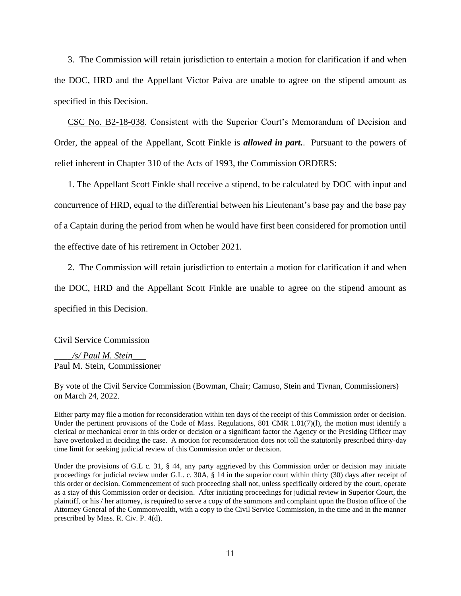3. The Commission will retain jurisdiction to entertain a motion for clarification if and when the DOC, HRD and the Appellant Victor Paiva are unable to agree on the stipend amount as specified in this Decision.

CSC No. B2-18-038. Consistent with the Superior Court's Memorandum of Decision and Order, the appeal of the Appellant, Scott Finkle is *allowed in part.*. Pursuant to the powers of relief inherent in Chapter 310 of the Acts of 1993, the Commission ORDERS:

1. The Appellant Scott Finkle shall receive a stipend, to be calculated by DOC with input and concurrence of HRD, equal to the differential between his Lieutenant's base pay and the base pay of a Captain during the period from when he would have first been considered for promotion until the effective date of his retirement in October 2021.

2. The Commission will retain jurisdiction to entertain a motion for clarification if and when the DOC, HRD and the Appellant Scott Finkle are unable to agree on the stipend amount as specified in this Decision.

Civil Service Commission

\_\_\_\_*/s/ Paul M. Stein*\_\_\_ Paul M. Stein, Commissioner

By vote of the Civil Service Commission (Bowman, Chair; Camuso, Stein and Tivnan, Commissioners) on March 24, 2022.

Either party may file a motion for reconsideration within ten days of the receipt of this Commission order or decision. Under the pertinent provisions of the Code of Mass. Regulations, 801 CMR 1.01(7)(1), the motion must identify a clerical or mechanical error in this order or decision or a significant factor the Agency or the Presiding Officer may have overlooked in deciding the case. A motion for reconsideration does not toll the statutorily prescribed thirty-day time limit for seeking judicial review of this Commission order or decision.

Under the provisions of G.L c. 31, § 44, any party aggrieved by this Commission order or decision may initiate proceedings for judicial review under G.L. c. 30A, § 14 in the superior court within thirty (30) days after receipt of this order or decision. Commencement of such proceeding shall not, unless specifically ordered by the court, operate as a stay of this Commission order or decision. After initiating proceedings for judicial review in Superior Court, the plaintiff, or his / her attorney, is required to serve a copy of the summons and complaint upon the Boston office of the Attorney General of the Commonwealth, with a copy to the Civil Service Commission, in the time and in the manner prescribed by Mass. R. Civ. P. 4(d).